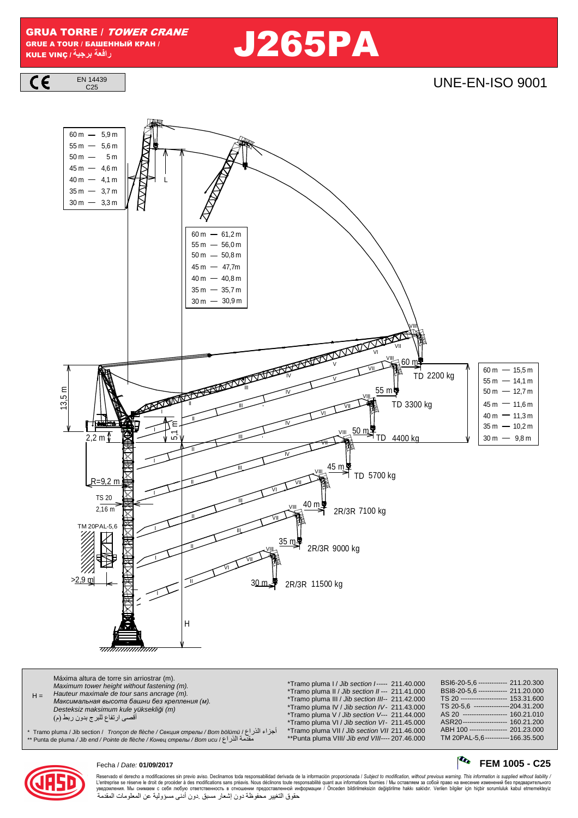GRUA TORRE / TOWER CRANE GRUE A TOUR / БАШЕННЫЙ КРАН / KULE VINÇ **/ -**

 **را** J265PA



# $\frac{144439}{C25}$



| Máxima altura de torre sin arriostrar (m).<br>Maximum tower height without fastening (m).<br>Hauteur maximale de tour sans ancrage (m).<br>$H =$<br>Максимальная высота башни без крепления (м).<br>Desteksiz maksimum kule yüksekliği (m)<br>أقصى ارتفاع للبرج بدون ربط (م)<br>اجزاء الذراع / Tramo pluma / Jib section /   Tronçon de flèche / Секция стрелы / Bom bölümü / أجزاء الذراع<br>مقدمة الذر اع / Punta de pluma / Jib end / Pointe de flèche / Конец стрелы / Bom ucu / ۴ * | *Tramo pluma I / Jib section I----- 211.40.000<br>*Tramo pluma II / Jib section II--- 211.41.000<br>*Tramo pluma III / Jib section III-- 211.42.000<br>*Tramo pluma IV / Jib section IV- 211.43.000<br>*Tramo pluma V / Jib section V--- 211.44.000<br>*Tramo pluma VI / Jib section VI- 211.45.000<br>*Tramo pluma VII / Jib section VII 211.46.000<br>**Punta pluma VIII/ Jib end VIII---- 207.46.000 | BSI6-20-5.6 ------------- 211.20.300<br>BSI8-20-5,6 ------------- 211.20.000<br>TS 20 --------------------- 153.31.600<br>TS 20-5.6 ----------------204.31.200<br>AS 20 -------------------- 160.21.010<br>ASR20--------------------- 160.21.200<br>ABH 100 ---------------- 201.23.000<br>TM 20PAL-5.6 ----------- 166.35.500 |
|------------------------------------------------------------------------------------------------------------------------------------------------------------------------------------------------------------------------------------------------------------------------------------------------------------------------------------------------------------------------------------------------------------------------------------------------------------------------------------------|---------------------------------------------------------------------------------------------------------------------------------------------------------------------------------------------------------------------------------------------------------------------------------------------------------------------------------------------------------------------------------------------------------|--------------------------------------------------------------------------------------------------------------------------------------------------------------------------------------------------------------------------------------------------------------------------------------------------------------------------------|
|------------------------------------------------------------------------------------------------------------------------------------------------------------------------------------------------------------------------------------------------------------------------------------------------------------------------------------------------------------------------------------------------------------------------------------------------------------------------------------------|---------------------------------------------------------------------------------------------------------------------------------------------------------------------------------------------------------------------------------------------------------------------------------------------------------------------------------------------------------------------------------------------------------|--------------------------------------------------------------------------------------------------------------------------------------------------------------------------------------------------------------------------------------------------------------------------------------------------------------------------------|



# Fecha / Date: **01/09/2017 FEM 1005 - C25**

Reservado el derecho a modificaciones sin previo aviso. Declinamos toda responsabilidad derivada de la información proporcionada / Subjec*t to modification, without previous warning. This information is supplied without l* حقوق التغيير محفوظة دون إشعار مسبق دون أدنى مسؤولية عن المعلومات المقدمة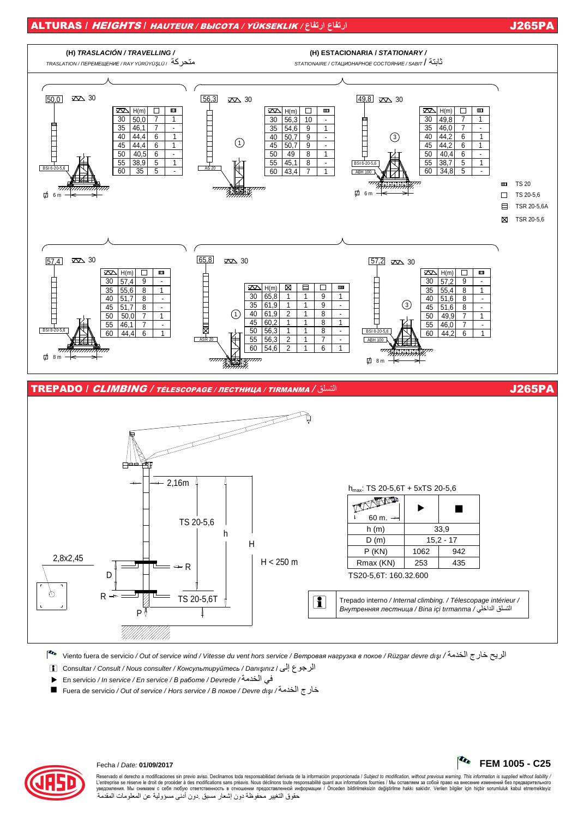## ALTURAS / HEIGHTS / HAUTEUR / ВЫСОТА / YÜKSEKLIK / **عار عار** J265PA



Pto Viento fuera de servicio / Out of service wind / Vitesse du vent hors service / *Ветровая нагрузка <sup>в</sup> покое* / Rüzgar devre dı*ş*ı / 7ا رج8 9:ا

- i Consultar / Consult / Nous consulter / *Консультируйтесь* / Danı*ş*ınız / %إ ع4ا
- · En servicio / In service / En service / *<sup>В</sup> работе* / Devrede / 7ا>;
- Fuera de servicio / Out of service / Hors service / *<sup>В</sup> покое* / Devre dı*ş*ı / 7ا رج8



# Fecha / Date: **01/09/2017 FEM 1005 - C25**

Reservado el derecho a modificaciones sin previo aviso. Declinamos toda responsabilidad derivada de la información proporcionada / Subjec*t to modification, without previous warning. This information is supplied without l*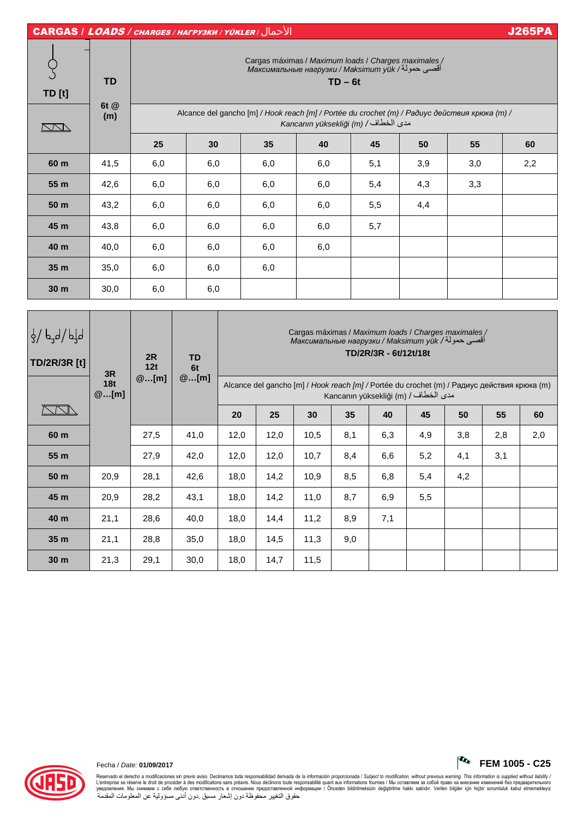| <b>CARGAS / LOADS / CHARGES / HALPY3KU / YÜKLER / JUSTER</b>      |                   |                                                                                                                                               |                                                                                                                                   |                                                                                                                                    |     |     |     |     | <b>J265PA</b> |  |  |
|-------------------------------------------------------------------|-------------------|-----------------------------------------------------------------------------------------------------------------------------------------------|-----------------------------------------------------------------------------------------------------------------------------------|------------------------------------------------------------------------------------------------------------------------------------|-----|-----|-----|-----|---------------|--|--|
| <b>TD</b> [t]                                                     | <b>TD</b><br>6t @ | Cargas máximas / Maximum loads / Charges maximales /<br>Максимальные нагрузки / Maksimum yük /أقصىي حمولة/ Максимальные нагрузки<br>$TD - 6t$ |                                                                                                                                   |                                                                                                                                    |     |     |     |     |               |  |  |
| NN                                                                | (m)               |                                                                                                                                               | Alcance del gancho [m] / Hook reach [m] / Portée du crochet (m) / Paðuyc действия крюка (m) /<br>Kancanın yüksekliği (m) / الخطاف |                                                                                                                                    |     |     |     |     |               |  |  |
|                                                                   |                   | 25                                                                                                                                            | 30                                                                                                                                | 35                                                                                                                                 | 40  | 45  | 50  | 55  | 60            |  |  |
| 60 m                                                              | 41,5              | 6,0                                                                                                                                           | 6,0                                                                                                                               | 6,0                                                                                                                                | 6,0 | 5,1 | 3,9 | 3,0 | 2,2           |  |  |
| 55 m                                                              | 42,6              | 6,0                                                                                                                                           | 6,0                                                                                                                               | 6,0                                                                                                                                | 6,0 | 5,4 | 4,3 | 3,3 |               |  |  |
| 50 m                                                              | 43,2              | 6,0                                                                                                                                           | 6,0                                                                                                                               | 6,0                                                                                                                                | 6,0 | 5,5 | 4,4 |     |               |  |  |
| 45 m                                                              | 43,8              | 6,0                                                                                                                                           | 6,0                                                                                                                               | 6,0                                                                                                                                | 6,0 | 5,7 |     |     |               |  |  |
| 40 m                                                              | 40,0              | 6,0                                                                                                                                           | 6,0                                                                                                                               | 6,0                                                                                                                                | 6,0 |     |     |     |               |  |  |
| 35 m                                                              | 35,0              | 6,0                                                                                                                                           | 6,0                                                                                                                               | 6,0                                                                                                                                |     |     |     |     |               |  |  |
| 30 <sub>m</sub>                                                   | 30,0              | 6,0                                                                                                                                           | 6,0                                                                                                                               |                                                                                                                                    |     |     |     |     |               |  |  |
|                                                                   |                   |                                                                                                                                               |                                                                                                                                   |                                                                                                                                    |     |     |     |     |               |  |  |
| المار الم <sub>ع</sub> م / المار<br>المعرض<br>$T\Gamma/2D/2D$ [4] |                   | 2R                                                                                                                                            | <b>TD</b>                                                                                                                         | Cargas máximas / Maximum loads / Charges maximales /<br>Максимальные нагрузки / Maksimum yük /أقصى حمولة/<br>TD/2R/3R - 6t/12t/18t |     |     |     |     |               |  |  |

| 3/27/3<br><b>TD/2R/3R [t]</b> | 3R<br>18t<br>@[m] | 2R<br>12t | <b>TD</b><br>6t | Максимальные нагрузки / Maksimum yük /اقصبی حموله /<br>TD/2R/3R - 6t/12t/18t                                                        |      |      |     |     |     |     |     |     |
|-------------------------------|-------------------|-----------|-----------------|-------------------------------------------------------------------------------------------------------------------------------------|------|------|-----|-----|-----|-----|-----|-----|
|                               |                   | @[m]      | @[m]            | Alcance del gancho [m] / Hook reach [m] / Portée du crochet (m) / Радиус действия крюка (m)<br>Kancanın yüksekliği (m) / مدى الخطاف |      |      |     |     |     |     |     |     |
|                               |                   |           |                 | 20                                                                                                                                  | 25   | 30   | 35  | 40  | 45  | 50  | 55  | 60  |
| 60 m                          |                   | 27,5      | 41,0            | 12,0                                                                                                                                | 12,0 | 10,5 | 8,1 | 6,3 | 4,9 | 3,8 | 2,8 | 2,0 |
| 55 m                          |                   | 27,9      | 42,0            | 12,0                                                                                                                                | 12,0 | 10,7 | 8,4 | 6,6 | 5,2 | 4,1 | 3,1 |     |
| 50 m                          | 20,9              | 28,1      | 42,6            | 18,0                                                                                                                                | 14,2 | 10,9 | 8,5 | 6,8 | 5,4 | 4,2 |     |     |
| 45 m                          | 20,9              | 28,2      | 43,1            | 18,0                                                                                                                                | 14,2 | 11,0 | 8,7 | 6,9 | 5,5 |     |     |     |
| 40 m                          | 21,1              | 28,6      | 40,0            | 18,0                                                                                                                                | 14,4 | 11,2 | 8,9 | 7,1 |     |     |     |     |
| 35 m                          | 21,1              | 28,8      | 35,0            | 18,0                                                                                                                                | 14,5 | 11,3 | 9,0 |     |     |     |     |     |
| 30 <sub>m</sub>               | 21,3              | 29,1      | 30,0            | 18,0                                                                                                                                | 14,7 | 11,5 |     |     |     |     |     |     |

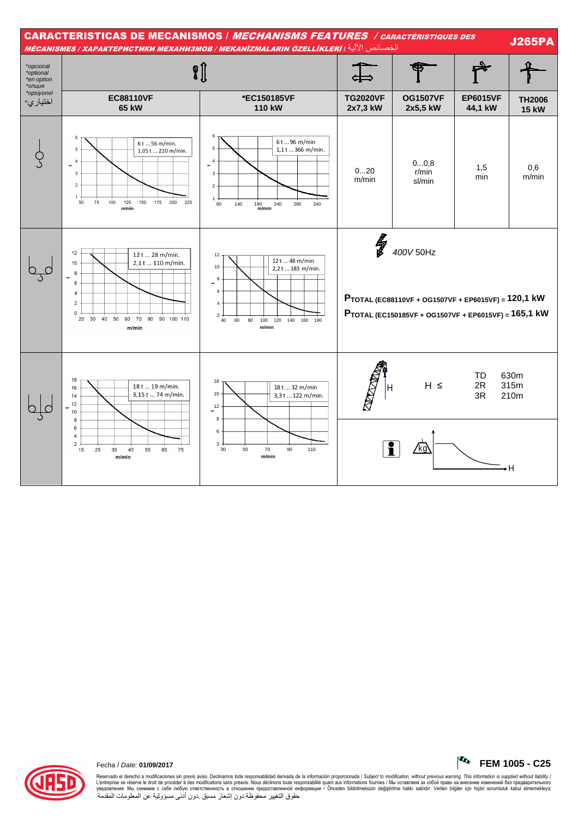



#### Fecha / Date: 01/09/2017

Reservado el derecho a modificaciones sin previo aviso. Declinamos toda responsabilidad derivada de la información proporcionada / Subject to modification, without previous warning. This information is supplied without li حقوق التغيير محفوظة دون إشعار مسبق دون أدنى مسؤولية عن المعلومات المقدمةُ

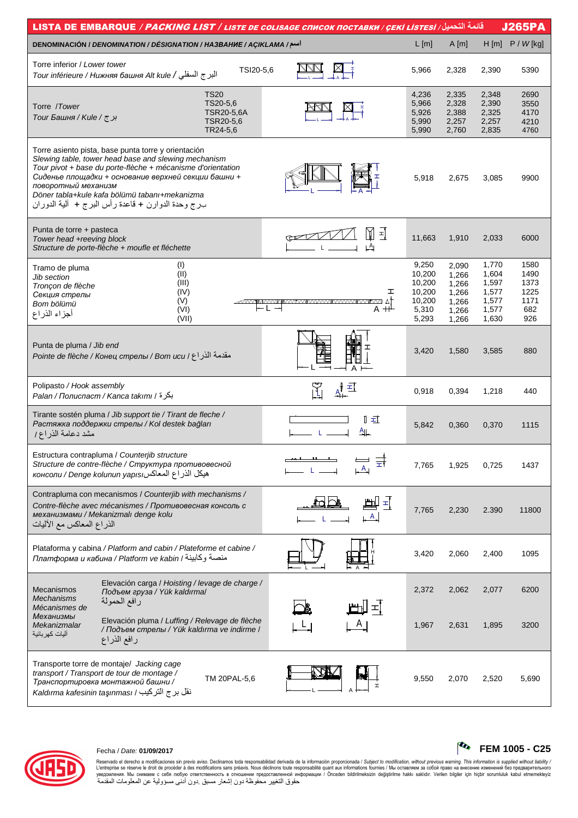| <u>قائ</u> مة التحميل/ LISTA DE EMBARQUE / <i>PACKING LIST / LISTE DE COLISAGE CПИСОК ПОСТАВКИ / ÇEKİ LISTESİ</i>                                                                                                                                                                                                                                                |                                     |                                                                 |                                                             |                                                             | <b>J265PA</b>                                      |
|------------------------------------------------------------------------------------------------------------------------------------------------------------------------------------------------------------------------------------------------------------------------------------------------------------------------------------------------------------------|-------------------------------------|-----------------------------------------------------------------|-------------------------------------------------------------|-------------------------------------------------------------|----------------------------------------------------|
| DENOMINACIÓN / DENOMINATION / DÉSIGNATION / HA3BAHUE / AÇIKLAMA /سم/                                                                                                                                                                                                                                                                                             |                                     | $L$ [m]                                                         | A[m]                                                        | H[m]                                                        | $P / W$ [kg]                                       |
| Torre inferior / Lower tower<br>TSI20-5,6<br>البرج السفلي / Tour inférieure / Нижняя башня Alt kule                                                                                                                                                                                                                                                              |                                     | 5,966                                                           | 2,328                                                       | 2,390                                                       | 5390                                               |
| <b>TS20</b><br>TS20-5,6<br>Torre /Tower<br>TSR20-5,6A<br>برج / Tour Башня / Kule /<br>TSR20-5,6<br>TR24-5,6                                                                                                                                                                                                                                                      |                                     | 4,236<br>5,966<br>5,926<br>5,990<br>5,990                       | 2,335<br>2,328<br>2,388<br>2,257<br>2,760                   | 2,348<br>2,390<br>2,325<br>2,257<br>2,835                   | 2690<br>3550<br>4170<br>4210<br>4760               |
| Torre asiento pista, base punta torre y orientación<br>Slewing table, tower head base and slewing mechanism<br>Tour pivot + base du porte-flèche + mécanisme d'orientation<br>Сиденье площадки + основание верхней секции башни +<br>поворотный механизм<br>Döner tabla+kule kafa bölümü tabanı+mekanizma<br>بـرج وحدة الدوارن + قاعدة رأس البرج +  ألية الدوران |                                     | 5,918                                                           | 2,675                                                       | 3,085                                                       | 9900                                               |
| Punta de torre + pasteca<br>Tower head +reeving block<br>Structure de porte-flèche + moufle et fléchette                                                                                                                                                                                                                                                         | M<br>됙<br>$\downarrow$ <sup>A</sup> | 11,663                                                          | 1,910                                                       | 2,033                                                       | 6000                                               |
| (1)<br>Tramo de pluma<br>(II)<br>Jib section<br>(III)<br>Tronçon de flèche<br>(IV)<br>Секция стрелы<br>(V)<br>Bom bölümü<br>⊢L →<br>(VI)<br>أجزاء الذراع<br>(VII)                                                                                                                                                                                                | ェ<br>$A + \frac{1}{2}$              | 9,250<br>10,200<br>10,200<br>10,200<br>10,200<br>5,310<br>5,293 | 2,090<br>1.266<br>1,266<br>1,266<br>1,266<br>1,266<br>1,266 | 1,770<br>1,604<br>1,597<br>1,577<br>1,577<br>1,577<br>1,630 | 1580<br>1490<br>1373<br>1225<br>1171<br>682<br>926 |
| Punta de pluma / Jib end<br>مقدمة الذراع / Вот иси / Вотвед / Голне de flèche / Конец стрелы                                                                                                                                                                                                                                                                     | A                                   | 3,420                                                           | 1,580                                                       | 3,585                                                       | 880                                                |
| Polipasto / Hook assembly<br>بكرة / Palan / Полиспаст / Kanca takımı / أ                                                                                                                                                                                                                                                                                         | 再                                   | 0,918                                                           | 0,394                                                       | 1,218                                                       | 440                                                |
| Tirante sostén pluma / Jib support tie / Tirant de fleche /<br>Растяжка поддержки стрелы / Kol destek bağları<br>مشد دعامة الذراع/                                                                                                                                                                                                                               | ∏ ≖⊺<br><u>一</u>                    | 5,842                                                           | 0,360                                                       | 0,370                                                       | 1115                                               |
| Estructura contrapluma / Counterjib structure<br>Structure de contre-flèche / Структура противовесной<br>консоли / Denge kolunun yapısı المعاكس                                                                                                                                                                                                                  |                                     | 7,765                                                           | 1,925                                                       | 0,725                                                       | 1437                                               |
| Contrapluma con mecanismos / Counterjib with mechanisms /<br>Contre-flèche avec mécanismes / Противовесная консоль с<br>механизмами / Mekanizmalı denge kolu<br>الذراع المعاكس مع الأليات                                                                                                                                                                        | $\pm$ [<br>$\mathsf{A}$             | 7,765                                                           | 2,230                                                       | 2.390                                                       | 11800                                              |
| Plataforma y cabina / Platform and cabin / Plateforme et cabine /<br>платформа и кабина / Platform ve kabin / منصة وكابينة                                                                                                                                                                                                                                       |                                     | 3,420                                                           | 2,060                                                       | 2,400                                                       | 1095                                               |
| Elevación carga / Hoisting / levage de charge /<br><b>Mecanismos</b><br>Подъем груза / Yük kaldırma/<br>Mechanisms<br>رافع الحمولة                                                                                                                                                                                                                               |                                     | 2,372                                                           | 2,062                                                       | 2,077                                                       | 6200                                               |
| Mécanismes de<br>Механизмы<br>Elevación pluma / Luffing / Relevage de flèche<br>Mekanizmalar<br>/ Подъем стрелы / Yük kaldırma ve indirme /<br>آليات كهر بائية<br>رافع الذراع                                                                                                                                                                                    | 피                                   | 1,967                                                           | 2,631                                                       | 1,895                                                       | 3200                                               |
| Transporte torre de montaje/ Jacking cage<br>transport / Transport de tour de montage /<br>TM 20PAL-5,6<br>Транспортировка монтажной башни /<br>نقل برج التركيب / Kaldırma kafesinin taşınması                                                                                                                                                                   |                                     | 9,550                                                           | 2,070                                                       | 2,520                                                       | 5,690                                              |



# Fecha / Date: **01/09/2017 FEM 1005 - C25**

Reservado el derecho a modificaciones sin previo aviso. Declinamos toda responsabilidad derivada de la información proporcionada / Subjec*t to modification, without previous warning. This information is supplied without*